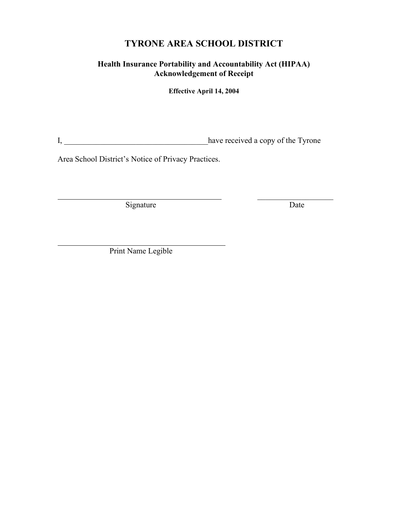# **TYRONE AREA SCHOOL DISTRICT**

# **Health Insurance Portability and Accountability Act (HIPAA) Acknowledgement of Receipt**

**Effective April 14, 2004**

I, \_\_\_\_\_\_\_\_\_\_\_\_\_\_\_\_\_\_\_\_\_\_\_\_\_\_\_\_\_\_\_\_\_\_\_\_have received a copy of the Tyrone

Area School District's Notice of Privacy Practices.

Signature Date Date

\_\_\_\_\_\_\_\_\_\_\_\_\_\_\_\_\_\_\_

 $\overline{a}$ Print Name Legible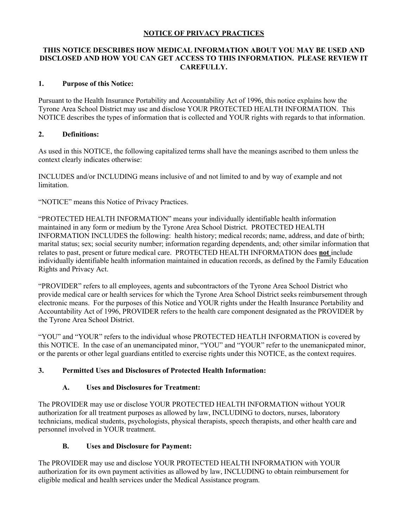#### **NOTICE OF PRIVACY PRACTICES**

#### **THIS NOTICE DESCRIBES HOW MEDICAL INFORMATION ABOUT YOU MAY BE USED AND DISCLOSED AND HOW YOU CAN GET ACCESS TO THIS INFORMATION. PLEASE REVIEW IT CAREFULLY.**

#### **1. Purpose of this Notice:**

Pursuant to the Health Insurance Portability and Accountability Act of 1996, this notice explains how the Tyrone Area School District may use and disclose YOUR PROTECTED HEALTH INFORMATION. This NOTICE describes the types of information that is collected and YOUR rights with regards to that information.

#### **2. Definitions:**

As used in this NOTICE, the following capitalized terms shall have the meanings ascribed to them unless the context clearly indicates otherwise:

INCLUDES and/or INCLUDING means inclusive of and not limited to and by way of example and not limitation.

"NOTICE" means this Notice of Privacy Practices.

"PROTECTED HEALTH INFORMATION" means your individually identifiable health information maintained in any form or medium by the Tyrone Area School District. PROTECTED HEALTH INFORMATION INCLUDES the following: health history; medical records; name, address, and date of birth; marital status; sex; social security number; information regarding dependents, and; other similar information that relates to past, present or future medical care. PROTECTED HEALTH INFORMATION does **not** include individually identifiable health information maintained in education records, as defined by the Family Education Rights and Privacy Act.

"PROVIDER" refers to all employees, agents and subcontractors of the Tyrone Area School District who provide medical care or health services for which the Tyrone Area School District seeks reimbursement through electronic means. For the purposes of this Notice and YOUR rights under the Health Insurance Portability and Accountability Act of 1996, PROVIDER refers to the health care component designated as the PROVIDER by the Tyrone Area School District.

"YOU" and "YOUR" refers to the individual whose PROTECTED HEATLH INFORMATION is covered by this NOTICE. In the case of an unemancipated minor, "YOU" and "YOUR" refer to the unemanicpated minor, or the parents or other legal guardians entitled to exercise rights under this NOTICE, as the context requires.

#### **3. Permitted Uses and Disclosures of Protected Health Information:**

#### **A. Uses and Disclosures for Treatment:**

The PROVIDER may use or disclose YOUR PROTECTED HEALTH INFORMATION without YOUR authorization for all treatment purposes as allowed by law, INCLUDING to doctors, nurses, laboratory technicians, medical students, psychologists, physical therapists, speech therapists, and other health care and personnel involved in YOUR treatment.

#### **B. Uses and Disclosure for Payment:**

The PROVIDER may use and disclose YOUR PROTECTED HEALTH INFORMATION with YOUR authorization for its own payment activities as allowed by law, INCLUDING to obtain reimbursement for eligible medical and health services under the Medical Assistance program.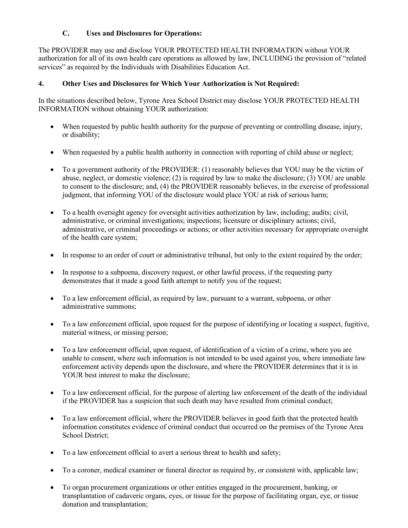### **C. Uses and Disclosures for Operations:**

The PROVIDER may use and disclose YOUR PROTECTED HEALTH INFORMATION without YOUR authorization for all of its own health care operations as allowed by law, INCLUDING the provision of "related services" as required by the Individuals with Disabilities Education Act.

#### **4. Other Uses and Disclosures for Which Your Authorization is Not Required:**

In the situations described below, Tyrone Area School District may disclose YOUR PROTECTED HEALTH INFORMATION without obtaining YOUR authorization:

- When requested by public health authority for the purpose of preventing or controlling disease, injury, or disability;
- When requested by a public health authority in connection with reporting of child abuse or neglect;
- To a government authority of the PROVIDER: (1) reasonably believes that YOU may be the victim of abuse, neglect, or domestic violence; (2) is required by law to make the disclosure; (3) YOU are unable to consent to the disclosure; and, (4) the PROVIDER reasonably believes, in the exercise of professional judgment, that informing YOU of the disclosure would place YOU at risk of serious harm;
- To a health oversight agency for oversight activities authorization by law, including; audits; civil, administrative, or criminal investigations; inspections; licensure or disciplinary actions; civil, administrative, or criminal proceedings or actions; or other activities necessary for appropriate oversight of the health care system;
- In response to an order of court or administrative tribunal, but only to the extent required by the order;
- In response to a subpoena, discovery request, or other lawful process, if the requesting party demonstrates that it made a good faith attempt to notify you of the request;
- To a law enforcement official, as required by law, pursuant to a warrant, subpoena, or other administrative summons;
- To a law enforcement official, upon request for the purpose of identifying or locating a suspect, fugitive, material witness, or missing person;
- To a law enforcement official, upon request, of identification of a victim of a crime, where you are unable to consent, where such information is not intended to be used against you, where immediate law enforcement activity depends upon the disclosure, and where the PROVIDER determines that it is in YOUR best interest to make the disclosure;
- To a law enforcement official, for the purpose of alerting law enforcement of the death of the individual if the PROVIDER has a suspicion that such death may have resulted from criminal conduct;
- To a law enforcement official, where the PROVIDER believes in good faith that the protected health information constitutes evidence of criminal conduct that occurred on the premises of the Tyrone Area School District;
- To a law enforcement official to avert a serious threat to health and safety;
- To a coroner, medical examiner or funeral director as required by, or consistent with, applicable law;
- To organ procurement organizations or other entities engaged in the procurement, banking, or transplantation of cadaveric organs, eyes, or tissue for the purpose of facilitating organ, eye, or tissue donation and transplantation;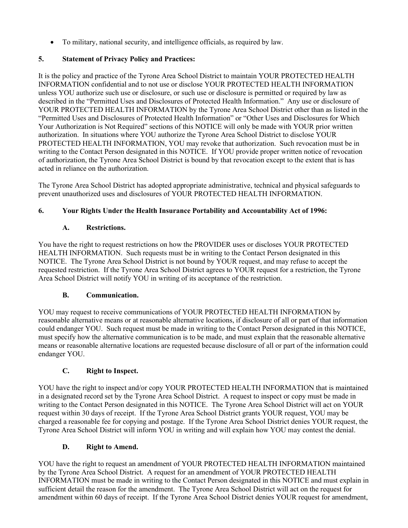• To military, national security, and intelligence officials, as required by law.

# **5. Statement of Privacy Policy and Practices:**

It is the policy and practice of the Tyrone Area School District to maintain YOUR PROTECTED HEALTH INFORMATION confidential and to not use or disclose YOUR PROTECTED HEALTH INFORMATION unless YOU authorize such use or disclosure, or such use or disclosure is permitted or required by law as described in the "Permitted Uses and Disclosures of Protected Health Information." Any use or disclosure of YOUR PROTECTED HEALTH INFORMATION by the Tyrone Area School District other than as listed in the "Permitted Uses and Disclosures of Protected Health Information" or "Other Uses and Disclosures for Which Your Authorization is Not Required" sections of this NOTICE will only be made with YOUR prior written authorization. In situations where YOU authorize the Tyrone Area School District to disclose YOUR PROTECTED HEALTH INFORMATION, YOU may revoke that authorization. Such revocation must be in writing to the Contact Person designated in this NOTICE. If YOU provide proper written notice of revocation of authorization, the Tyrone Area School District is bound by that revocation except to the extent that is has acted in reliance on the authorization.

The Tyrone Area School District has adopted appropriate administrative, technical and physical safeguards to prevent unauthorized uses and disclosures of YOUR PROTECTED HEALTH INFORMATION.

# **6. Your Rights Under the Health Insurance Portability and Accountability Act of 1996:**

# **A. Restrictions.**

You have the right to request restrictions on how the PROVIDER uses or discloses YOUR PROTECTED HEALTH INFORMATION. Such requests must be in writing to the Contact Person designated in this NOTICE. The Tyrone Area School District is not bound by YOUR request, and may refuse to accept the requested restriction. If the Tyrone Area School District agrees to YOUR request for a restriction, the Tyrone Area School District will notify YOU in writing of its acceptance of the restriction.

### **B. Communication.**

YOU may request to receive communications of YOUR PROTECTED HEALTH INFORMATION by reasonable alternative means or at reasonable alternative locations, if disclosure of all or part of that information could endanger YOU. Such request must be made in writing to the Contact Person designated in this NOTICE, must specify how the alternative communication is to be made, and must explain that the reasonable alternative means or reasonable alternative locations are requested because disclosure of all or part of the information could endanger YOU.

### **C. Right to Inspect.**

YOU have the right to inspect and/or copy YOUR PROTECTED HEALTH INFORMATION that is maintained in a designated record set by the Tyrone Area School District. A request to inspect or copy must be made in writing to the Contact Person designated in this NOTICE. The Tyrone Area School District will act on YOUR request within 30 days of receipt. If the Tyrone Area School District grants YOUR request, YOU may be charged a reasonable fee for copying and postage. If the Tyrone Area School District denies YOUR request, the Tyrone Area School District will inform YOU in writing and will explain how YOU may contest the denial.

### **D. Right to Amend.**

YOU have the right to request an amendment of YOUR PROTECTED HEALTH INFORMATION maintained by the Tyrone Area School District. A request for an amendment of YOUR PROTECTED HEALTH INFORMATION must be made in writing to the Contact Person designated in this NOTICE and must explain in sufficient detail the reason for the amendment. The Tyrone Area School District will act on the request for amendment within 60 days of receipt. If the Tyrone Area School District denies YOUR request for amendment,